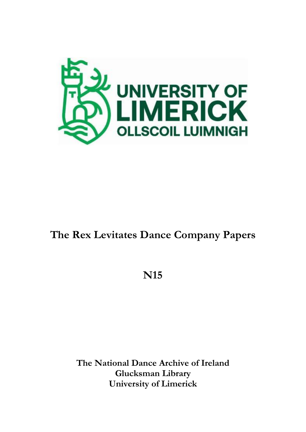

# **The Rex Levitates Dance Company Papers**

# **N15**

**The National Dance Archive of Ireland Glucksman Library University of Limerick**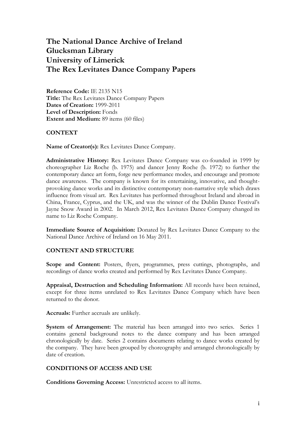# **The National Dance Archive of Ireland Glucksman Library University of Limerick The Rex Levitates Dance Company Papers**

**Reference Code:** IE 2135 N15 **Title:** The Rex Levitates Dance Company Papers **Dates of Creation:** 1999-2011 **Level of Description:** Fonds **Extent and Medium:** 89 items (60 files)

#### **CONTEXT**

**Name of Creator(s):** Rex Levitates Dance Company.

**Administrative History:** Rex Levitates Dance Company was co-founded in 1999 by choreographer Liz Roche (b. 1975) and dancer Jenny Roche (b. 1972) to further the contemporary dance art form, forge new performance modes, and encourage and promote dance awareness. The company is known for its entertaining, innovative, and thoughtprovoking dance works and its distinctive contemporary non-narrative style which draws influence from visual art. Rex Levitates has performed throughout Ireland and abroad in China, France, Cyprus, and the UK, and was the winner of the Dublin Dance Festival's Jayne Snow Award in 2002. In March 2012, Rex Levitates Dance Company changed its name to Liz Roche Company.

**Immediate Source of Acquisition:** Donated by Rex Levitates Dance Company to the National Dance Archive of Ireland on 16 May 2011.

#### **CONTENT AND STRUCTURE**

Scope and Content: Posters, flyers, programmes, press cuttings, photographs, and recordings of dance works created and performed by Rex Levitates Dance Company.

**Appraisal, Destruction and Scheduling Information:** All records have been retained, except for three items unrelated to Rex Levitates Dance Company which have been returned to the donor.

**Accruals:** Further accruals are unlikely.

**System of Arrangement:** The material has been arranged into two series. Series 1 contains general background notes to the dance company and has been arranged chronologically by date. Series 2 contains documents relating to dance works created by the company. They have been grouped by choreography and arranged chronologically by date of creation.

#### **CONDITIONS OF ACCESS AND USE**

**Conditions Governing Access:** Unrestricted access to all items.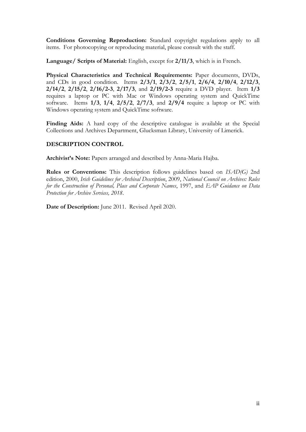**Conditions Governing Reproduction:** Standard copyright regulations apply to all items. For photocopying or reproducing material, please consult with the staff.

**Language/ Scripts of Material:** English, except for **2/11/3**, which is in French.

**Physical Characteristics and Technical Requirements:** Paper documents, DVDs, and CDs in good condition. Items **2/3/1**, **2/3/2**, **2/5/1**, **2/6/4**, **2/10/4**, **2/12/3**, **2/14/2**, **2/15/2**, **2/16/2-3**, **2/17/3**, and **2/19/2-3** require a DVD player. Item **1/3** requires a laptop or PC with Mac or Windows operating system and QuickTime software. Items **1/3**, **1/4**, **2/5/2**, **2/7/3**, and **2/9/4** require a laptop or PC with Windows operating system and QuickTime software.

**Finding Aids:** A hard copy of the descriptive catalogue is available at the Special Collections and Archives Department, Glucksman Library, University of Limerick.

# **DESCRIPTION CONTROL**

**Archivist's Note:** Papers arranged and described by Anna-Maria Hajba.

**Rules or Conventions:** This description follows guidelines based on *ISAD(G)* 2nd edition, 2000, *Irish Guidelines for Archival Description*, 2009, *National Council on Archives: Rules for the Construction of Personal, Place and Corporate Names*, 1997, and *EAP Guidance on Data Protection for Archive Services, 2018*.

**Date of Description:** June 2011. Revised April 2020.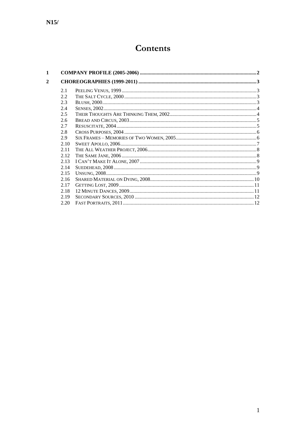# Contents

| 1 |      |  |
|---|------|--|
| 2 |      |  |
|   | 2.1  |  |
|   | 2.2  |  |
|   | 2.3  |  |
|   | 2.4  |  |
|   | 2.5  |  |
|   | 2.6  |  |
|   | 2.7  |  |
|   | 2.8  |  |
|   | 2.9  |  |
|   | 2.10 |  |
|   | 2.11 |  |
|   | 2.12 |  |
|   | 2.13 |  |
|   | 2.14 |  |
|   | 2.15 |  |
|   | 2.16 |  |
|   | 2.17 |  |
|   | 2.18 |  |
|   | 2.19 |  |
|   | 2.20 |  |
|   |      |  |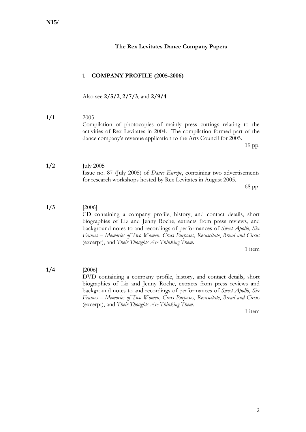## **The Rex Levitates Dance Company Papers**

#### <span id="page-4-0"></span>**1 COMPANY PROFILE (2005-2006)**

Also see **2/5/2**, **2/7/3**, and **2/9/4**

#### **1/1** 2005 Compilation of photocopies of mainly press cuttings relating to the activities of Rex Levitates in 2004. The compilation formed part of the dance company's revenue application to the Arts Council for 2005. 19 pp.

# **1/2** July 2005 Issue no. 87 (July 2005) of *Dance Europe*, containing two advertisements for research workshops hosted by Rex Levitates in August 2005.

68 pp.

#### **1/3** [2006]

CD containing a company profile, history, and contact details, short biographies of Liz and Jenny Roche, extracts from press reviews, and background notes to and recordings of performances of *Sweet Apollo*, *Six Frames – Memories of Two Women*, *Cross Purposes*, *Resuscitate*, *Bread and Circus* (excerpt), and *Their Thoughts Are Thinking Them*.

1 item

# **1/4** [2006]

DVD containing a company profile, history, and contact details, short biographies of Liz and Jenny Roche, extracts from press reviews and background notes to and recordings of performances of *Sweet Apollo*, *Six Frames – Memories of Two Women*, *Cross Purposes*, *Resuscitate*, *Bread and Circus* (excerpt), and *Their Thoughts Are Thinking Them*.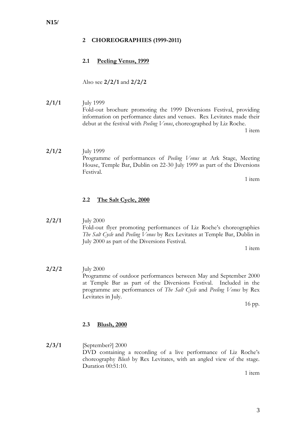#### <span id="page-5-0"></span>**2 CHOREOGRAPHIES (1999-2011)**

## <span id="page-5-1"></span>**2.1 Peeling Venus, 1999**

Also see **2/2/1** and **2/2/2**

**2/1/1** July 1999 Fold-out brochure promoting the 1999 Diversions Festival, providing information on performance dates and venues. Rex Levitates made their debut at the festival with *Peeling Venus*, choreographed by Liz Roche.

1 item

**2/1/2** July 1999 Programme of performances of *Peeling Venus* at Ark Stage, Meeting House, Temple Bar, Dublin on 22-30 July 1999 as part of the Diversions Festival.

1 item

#### <span id="page-5-2"></span>**2.2 The Salt Cycle, 2000**

#### **2/2/1** July 2000 Fold-out flyer promoting performances of Liz Roche's choreographies *The Salt Cycle* and *Peeling Venus* by Rex Levitates at Temple Bar, Dublin in July 2000 as part of the Diversions Festival.

1 item

**2/2/2** July 2000 Programme of outdoor performances between May and September 2000 at Temple Bar as part of the Diversions Festival. Included in the programme are performances of *The Salt Cycle* and *Peeling Venus* by Rex Levitates in July.

16 pp.

#### <span id="page-5-3"></span>**2.3 Blush, 2000**

**2/3/1** [September?] 2000 DVD containing a recording of a live performance of Liz Roche's choreography *Blush* by Rex Levitates, with an angled view of the stage. Duration 00:51:10.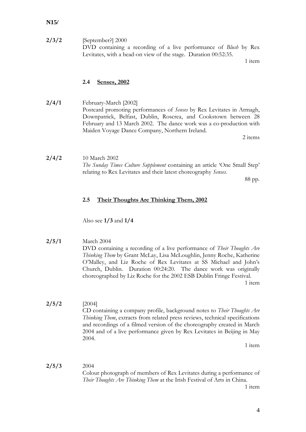**2/3/2** [September?] 2000 DVD containing a recording of a live performance of *Blush* by Rex Levitates, with a head-on view of the stage. Duration 00:52:35.

1 item

#### <span id="page-6-0"></span>**2.4 Senses, 2002**

**2/4/1** February-March [2002] Postcard promoting performances of *Senses* by Rex Levitates in Armagh, Downpatrick, Belfast, Dublin, Roscrea, and Cookstown between 28 February and 13 March 2002. The dance work was a co-production with Maiden Voyage Dance Company, Northern Ireland.

2 items

**2/4/2** 10 March 2002 *The Sunday Times Culture Supplement* containing an article 'One Small Step' relating to Rex Levitates and their latest choreography *Senses*.

88 pp.

#### <span id="page-6-1"></span>**2.5 Their Thoughts Are Thinking Them, 2002**

Also see **1/3** and **1/4**

**2/5/1** March 2004

DVD containing a recording of a live performance of *Their Thoughts Are Thinking Them* by Grant McLay, Lisa McLoughlin, Jenny Roche, Katherine O'Malley, and Liz Roche of Rex Levitates at SS Michael and John's Church, Dublin. Duration 00:24:20. The dance work was originally choreographed by Liz Roche for the 2002 ESB Dublin Fringe Festival.

1 item

**2/5/2** [2004] CD containing a company profile, background notes to *Their Thoughts Are Thinking Them*, extracts from related press reviews, technical specifications and recordings of a filmed version of the choreography created in March 2004 and of a live performance given by Rex Levitates in Beijing in May 2004.

1 item

**2/5/3** 2004

Colour photograph of members of Rex Levitates during a performance of *Their Thoughts Are Thinking Them* at the Irish Festival of Arts in China.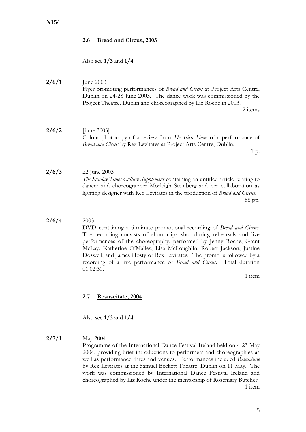#### <span id="page-7-0"></span>**2.6 Bread and Circus, 2003**

Also see **1/3** and **1/4**

**2/6/1** June 2003 Flyer promoting performances of *Bread and Circus* at Project Arts Centre, Dublin on 24-28 June 2003. The dance work was commissioned by the Project Theatre, Dublin and choreographed by Liz Roche in 2003. 2 items

**2/6/2** [June 2003] Colour photocopy of a review from *The Irish Times* of a performance of *Bread and Circus* by Rex Levitates at Project Arts Centre, Dublin.

1 p.

- **2/6/3** 22 June 2003 *The Sunday Times Culture Supplement* containing an untitled article relating to dancer and choreographer Morleigh Steinberg and her collaboration as lighting designer with Rex Levitates in the production of *Bread and Circus*. 88 pp.
- **2/6/4** 2003

DVD containing a 6-minute promotional recording of *Bread and Circus*. The recording consists of short clips shot during rehearsals and live performances of the choreography, performed by Jenny Roche, Grant McLay, Katherine O'Malley, Lisa McLoughlin, Robert Jackson, Justine Doswell, and James Hosty of Rex Levitates. The promo is followed by a recording of a live performance of *Bread and Circus*. Total duration 01:02:30.

1 item

#### <span id="page-7-1"></span>**2.7 Resuscitate, 2004**

Also see **1/3** and **1/4**

#### **2/7/1** May 2004

Programme of the International Dance Festival Ireland held on 4-23 May 2004, providing brief introductions to performers and choreographies as well as performance dates and venues. Performances included *Resuscitate* by Rex Levitates at the Samuel Beckett Theatre, Dublin on 11 May. The work was commissioned by International Dance Festival Ireland and choreographed by Liz Roche under the mentorship of Rosemary Butcher. 1 item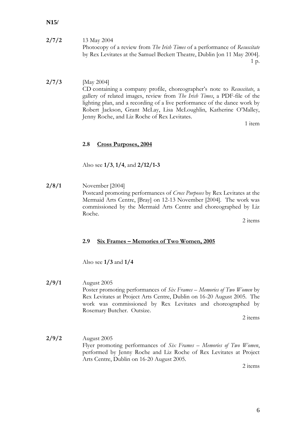# **2/7/2** 13 May 2004 Photocopy of a review from *The Irish Times* of a performance of *Resuscitate* by Rex Levitates at the Samuel Beckett Theatre, Dublin [on 11 May 2004].

1 p.

### **2/7/3** [May 2004] CD containing a company profile, choreographer's note to *Resuscitate*, a gallery of related images, review from *The Irish Times*, a PDF-file of the lighting plan, and a recording of a live performance of the dance work by Robert Jackson, Grant McLay, Lisa McLoughlin, Katherine O'Malley, Jenny Roche, and Liz Roche of Rex Levitates.

1 item

# <span id="page-8-0"></span>**2.8 Cross Purposes, 2004**

Also see **1/3**, **1/4**, and **2/12/1-3**

**2/8/1** November [2004] Postcard promoting performances of *Cross Purposes* by Rex Levitates at the Mermaid Arts Centre, [Bray] on 12-13 November [2004]. The work was commissioned by the Mermaid Arts Centre and choreographed by Liz Roche.

2 items

#### <span id="page-8-1"></span>**2.9 Six Frames – Memories of Two Women, 2005**

Also see **1/3** and **1/4**

**2/9/1** August 2005 Poster promoting performances of *Six Frames – Memories of Two Women* by Rex Levitates at Project Arts Centre, Dublin on 16-20 August 2005. The work was commissioned by Rex Levitates and choreographed by Rosemary Butcher. Outsize.

2 items

**2/9/2** August 2005 Flyer promoting performances of *Six Frames – Memories of Two Women*, performed by Jenny Roche and Liz Roche of Rex Levitates at Project Arts Centre, Dublin on 16-20 August 2005.

2 items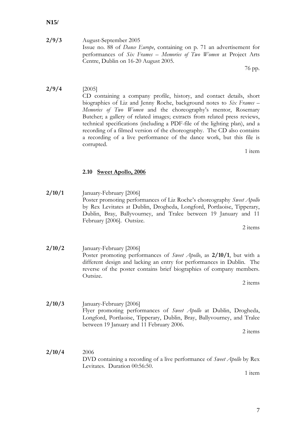7

# **N15/**

**2/9/3** August-September 2005 Issue no. 88 of *Dance Europe*, containing on p. 71 an advertisement for performances of *Six Frames – Memories of Two Women* at Project Arts Centre, Dublin on 16-20 August 2005.

76 pp.

#### **2/9/4** [2005] CD containing a company profile, history, and contact details, short biographies of Liz and Jenny Roche, background notes to *Six Frames – Memories of Two Women* and the choreography's mentor, Rosemary Butcher; a gallery of related images; extracts from related press reviews, technical specifications (including a PDF-file of the lighting plan), and a recording of a filmed version of the choreography. The CD also contains a recording of a live performance of the dance work, but this file is corrupted. 1 item

# <span id="page-9-0"></span>**2.10 Sweet Apollo, 2006**

**2/10/1** January-February [2006] Poster promoting performances of Liz Roche's choreography *Sweet Apollo* by Rex Levitates at Dublin, Drogheda, Longford, Portlaoise, Tipperary, Dublin, Bray, Ballyvourney, and Tralee between 19 January and 11 February [2006]. Outsize.

2 items

**2/10/2** January-February [2006] Poster promoting performances of *Sweet Apollo*, as **2/10/1**, but with a different design and lacking an entry for performances in Dublin. The reverse of the poster contains brief biographies of company members. Outsize.

2 items

**2/10/3** January-February [2006] Flyer promoting performances of *Sweet Apollo* at Dublin, Drogheda, Longford, Portlaoise, Tipperary, Dublin, Bray, Ballyvourney, and Tralee between 19 January and 11 February 2006.

2 items

**2/10/4** 2006 DVD containing a recording of a live performance of *Sweet Apollo* by Rex Levitates. Duration 00:56:50.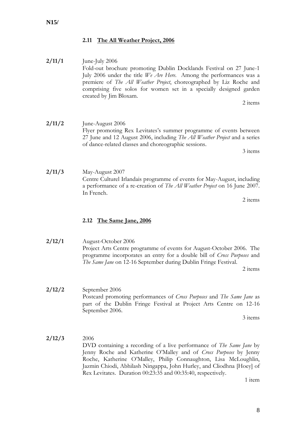# <span id="page-10-0"></span>**2.11 The All Weather Project, 2006**

#### **2/11/1** June-July 2006 Fold-out brochure promoting Dublin Docklands Festival on 27 June-1 July 2006 under the title *We Are Here*. Among the performances was a premiere of *The All Weather Project*, choreographed by Liz Roche and comprising five solos for women set in a specially designed garden created by Jim Bloxam.

2 items

#### **2/11/2** June-August 2006 Flyer promoting Rex Levitates's summer programme of events between 27 June and 12 August 2006, including *The All Weather Project* and a series of dance-related classes and choreographic sessions.

3 items

**2/11/3** May-August 2007 Centre Culturel Irlandais programme of events for May-August, including a performance of a re-creation of *The All Weather Project* on 16 June 2007. In French.

2 items

#### <span id="page-10-1"></span>**2.12 The Same Jane, 2006**

**2/12/1** August-October 2006 Project Arts Centre programme of events for August-October 2006. The programme incorporates an entry for a double bill of *Cross Purposes* and *The Same Jane* on 12-16 September during Dublin Fringe Festival. 2 items

**2/12/2** September 2006 Postcard promoting performances of *Cross Purposes* and *The Same Jane* as part of the Dublin Fringe Festival at Project Arts Centre on 12-16 September 2006.

3 items

# **2/12/3** 2006 DVD containing a recording of a live performance of *The Same Jane* by Jenny Roche and Katherine O'Malley and of *Cross Purposes* by Jenny Roche, Katherine O'Malley, Philip Connaughton, Lisa McLoughlin, Jazmin Chiodi, Abhilash Ningappa, John Hurley, and Cliodhna [Hoey] of Rex Levitates. Duration 00:23:35 and 00:35:40, respectively.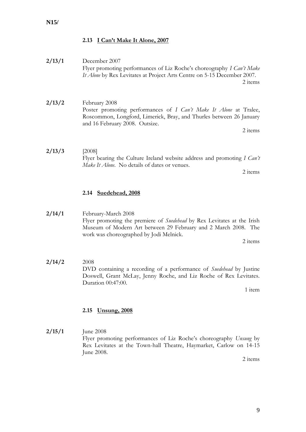# <span id="page-11-0"></span>**2.13 I Can't Make It Alone, 2007**

**2/13/1** December 2007 Flyer promoting performances of Liz Roche's choreography *I Can't Make It Alone* by Rex Levitates at Project Arts Centre on 5-15 December 2007. 2 items **2/13/2** February 2008 Poster promoting performances of *I Can't Make It Alone* at Tralee, Roscommon, Longford, Limerick, Bray, and Thurles between 26 January and 16 February 2008. Outsize. 2 items **2/13/3** [2008] Flyer bearing the Culture Ireland website address and promoting *I Can't Make It Alone*. No details of dates or venues. 2 items

## <span id="page-11-1"></span>**2.14 Suedehead, 2008**

**2/14/1** February-March 2008 Flyer promoting the premiere of *Suedehead* by Rex Levitates at the Irish Museum of Modern Art between 29 February and 2 March 2008. The work was choreographed by Jodi Melnick.

2 items

**2/14/2** 2008 DVD containing a recording of a performance of *Suedehead* by Justine Doswell, Grant McLay, Jenny Roche, and Liz Roche of Rex Levitates. Duration 00:47:00.

1 item

# <span id="page-11-2"></span>**2.15 Unsung, 2008**

**2/15/1** June 2008 Flyer promoting performances of Liz Roche's choreography *Unsung* by Rex Levitates at the Town-hall Theatre, Haymarket, Carlow on 14-15 June 2008.

2 items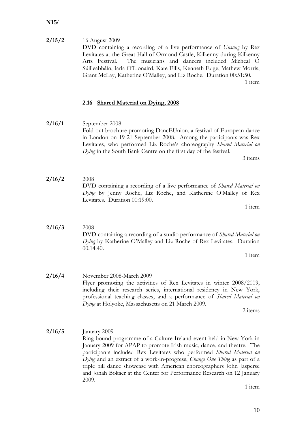**2/15/2** 16 August 2009 DVD containing a recording of a live performance of *Unsung* by Rex Levitates at the Great Hall of Ormond Castle, Kilkenny during Kilkenny Arts Festival. The musicians and dancers included Mícheal Ó Súilleabháin, Iarla O'Lionaird, Kate Ellis, Kenneth Edge, Mathew Morris, Grant McLay, Katherine O'Malley, and Liz Roche. Duration 00:51:50. 1 item

# <span id="page-12-0"></span>**2.16 Shared Material on Dying, 2008**

**2/16/1** September 2008 Fold-out brochure promoting DancEUnion, a festival of European dance in London on 19-21 September 2008. Among the participants was Rex Levitates, who performed Liz Roche's choreography *Shared Material on Dying* in the South Bank Centre on the first day of the festival.

3 items

**2/16/2** 2008 DVD containing a recording of a live performance of *Shared Material on Dying* by Jenny Roche, Liz Roche, and Katherine O'Malley of Rex Levitates. Duration 00:19:00.

1 item

**2/16/3** 2008 DVD containing a recording of a studio performance of *Shared Material on Dying* by Katherine O'Malley and Liz Roche of Rex Levitates. Duration 00:14:40.

1 item

**2/16/4** November 2008-March 2009 Flyer promoting the activities of Rex Levitates in winter 2008/2009, including their research series, international residency in New York, professional teaching classes, and a performance of *Shared Material on Dying* at Holyoke, Massachusetts on 21 March 2009.

2 items

**2/16/5** January 2009 Ring-bound programme of a Culture Ireland event held in New York in January 2009 for APAP to promote Irish music, dance, and theatre. The participants included Rex Levitates who performed *Shared Material on Dying* and an extract of a work-in-progress, *Change One Thing* as part of a triple bill dance showcase with American choreographers John Jasperse and Jonah Bokaer at the Center for Performance Research on 12 January 2009.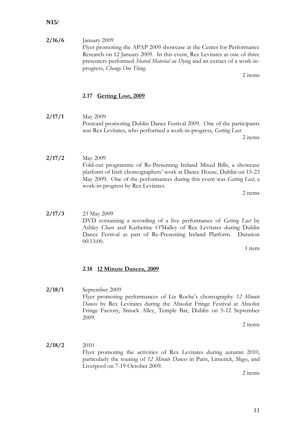**2/16/6** January 2009 Flyer promoting the APAP 2009 showcase at the Center for Performance Research on 12 January 2009. In this event, Rex Levitates as one of three presenters performed *Shared Material on Dying* and an extract of a work-inprogress, *Change One Thing*.

2 items

# <span id="page-13-0"></span>**2.17 Getting Lost, 2009**

**2/17/1** May 2009 Postcard promoting Dublin Dance Festival 2009. One of the participants was Rex Levitates, who performed a work-in-progress, *Getting Lost*.

2 items

**2/17/2** May 2009 Fold-out programme of Re-Presenting Ireland Mixed Bills, a showcase platform of Irish choreographers' work at Dance House, Dublin on 15-23 May 2009. One of the performances during this event was *Getting Lost*, a work-in-progress by Rex Levitates.

2 items

**2/17/3** 23 May 2009 DVD containing a recording of a live performance of *Getting Lost* by Ashley Chen and Katherine O'Malley of Rex Levitates during Dublin Dance Festival as part of Re-Presenting Ireland Platform. Duration 00:13:00.

1 item

# <span id="page-13-1"></span>**2.18 12 Minute Dances, 2009**

**2/18/1** September 2009 Flyer promoting performances of Liz Roche's choreography *12 Minute Dances* by Rex Levitates during the Absolut Fringe Festival at Absolut Fringe Factory, Smock Alley, Temple Bar, Dublin on 5-12 September 2009.

2 items

**2/18/2** 2010 Flyer promoting the activities of Rex Levitates during autumn 2010, particularly the touring of *12 Minute Dances* in Paris, Limerick, Sligo, and Liverpool on 7-19 October 2009.

2 items